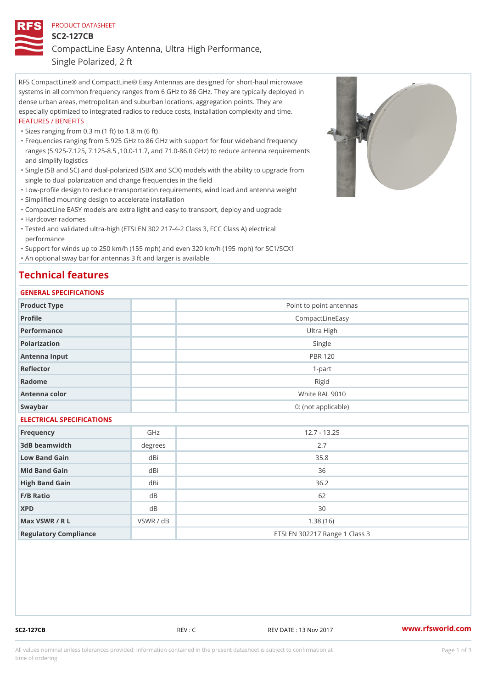## PRODUCT DATASHEET

SC2-127CB

CompactLine Easy Antenna, Ultra High Performance,

Single Polarized, 2 ft

RFS CompactLine® and CompactLine® Easy Antennas are designed for short-haul microwave systems in all common frequency ranges from 6 GHz to 86 GHz. They are typically deployed in dense urban areas, metropolitan and suburban locations, aggregation points. They are especially optimized to integrated radios to reduce costs, installation complexity and time. FEATURES / BENEFITS

"Sizes ranging from 0.3 m (1 ft) to 1.8 m (6 ft)

- Frequencies ranging from 5.925 GHz to 86 GHz with support for four wideband frequency " ranges (5.925-7.125, 7.125-8.5 ,10.0-11.7, and 71.0-86.0 GHz) to reduce antenna requirements and simplify logistics
- Single (SB and SC) and dual-polarized (SBX and SCX) models with the ability to upgrade from " single to dual polarization and change frequencies in the field
- "Low-profile design to reduce transportation requirements, wind load and antenna weight
- "Simplified mounting design to accelerate installation

 "CompactLine EASY models are extra light and easy to transport, deploy and upgrade "Hardcover radomes

Tested and validated ultra-high (ETSI EN 302 217-4-2 Class 3, FCC Class A) electrical " performance

 "Support for winds up to 250 km/h (155 mph) and even 320 km/h (195 mph) for SC1/SCX1 "An optional sway bar for antennas 3 ft and larger is available

# Technical features

## GENERAL SPECIFICATIONS

| OLIVLINAL OI LOII IOA I IONO |                 |                                |  |  |  |
|------------------------------|-----------------|--------------------------------|--|--|--|
| Product Type                 |                 | Point to point antennas        |  |  |  |
| Profile                      | CompactLineEasy |                                |  |  |  |
| Performance                  |                 | Ultra High                     |  |  |  |
| Polarization                 |                 | Single                         |  |  |  |
| Antenna Input                |                 | <b>PBR 120</b>                 |  |  |  |
| Reflector                    | $1 - p$ art     |                                |  |  |  |
| Radome                       | Rigid           |                                |  |  |  |
| Antenna color                | White RAL 9010  |                                |  |  |  |
| Swaybar                      |                 | 0: (not applicable)            |  |  |  |
| ELECTRICAL SPECIFICATIONS    |                 |                                |  |  |  |
| Frequency                    | GHz             | $12.7 - 13.25$                 |  |  |  |
| 3dB beamwidth                | degrees         | 2.7                            |  |  |  |
| Low Band Gain                | dBi             | 35.8                           |  |  |  |
| Mid Band Gain                | dBi             | 36                             |  |  |  |
| High Band Gain               | dBi             | 36.2                           |  |  |  |
| F/B Ratio                    | $d$ B           | 62                             |  |  |  |
| <b>XPD</b>                   | $d$ B           | 30                             |  |  |  |
| Max VSWR / R L               | VSWR / dB       | 1.38(16)                       |  |  |  |
| Regulatory Compliance        |                 | ETSI EN 302217 Range 1 Class 3 |  |  |  |

SC2-127CB REV : C REV DATE : 13 Nov 2017 WWW.rfsworld.com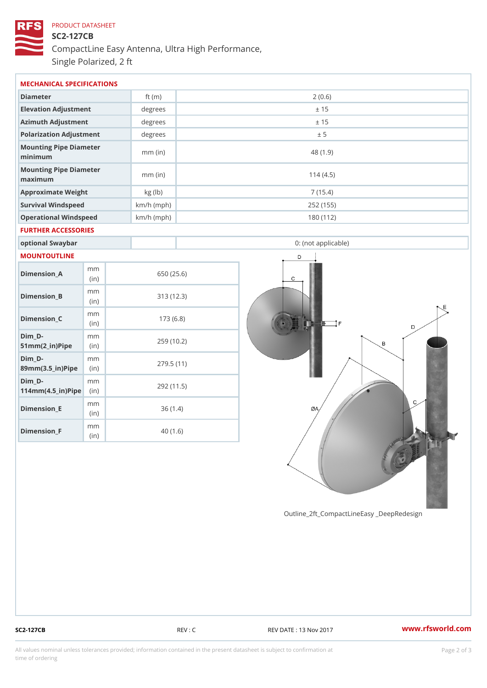# PRODUCT DATASHEET SC2-127CB CompactLine Easy Antenna, Ultra High Performance, Single Polarized, 2 ft

| MECHANICAL SPECIFICATIONS                                              |             |              |                     |  |  |  |
|------------------------------------------------------------------------|-------------|--------------|---------------------|--|--|--|
| Diameter                                                               |             | ft $(m)$     | 2(0.6)              |  |  |  |
| Elevation Adjustment                                                   |             | degrees      | ± 15                |  |  |  |
| Azimuth Adjustment                                                     |             | degrees      | ± 15                |  |  |  |
| Polarization Adjustment                                                |             | degrees      | ± 5                 |  |  |  |
| Mounting Pipe Diameter<br>minimum                                      |             | $mm$ (in)    | 48 (1.9)            |  |  |  |
| Mounting Pipe Diameter<br>maximum                                      |             | $mm$ (in)    | 114(4.5)            |  |  |  |
| Approximate Weight                                                     |             | kg (lb)      | 7(15.4)             |  |  |  |
| Survival Windspeed                                                     |             | $km/h$ (mph) | 252 (155)           |  |  |  |
| Operational Windspeed                                                  |             | $km/h$ (mph) | 180 (112)           |  |  |  |
| FURTHER ACCESSORIES                                                    |             |              |                     |  |  |  |
| optional Swaybar                                                       |             |              | 0: (not applicable) |  |  |  |
| MOUNTOUTLINE                                                           |             |              |                     |  |  |  |
| $Dimension_A$                                                          | m m<br>(in) |              | 650 (25.6)          |  |  |  |
| $Dimension_B$                                                          | m m<br>(in) |              | 313 (12.3)          |  |  |  |
| $Dimension_C$                                                          | m m<br>(in) |              | 173(6.8)            |  |  |  |
| $Dim_D - D -$<br>$51mm(2_in)Pip@in$                                    | m m         |              | 259 (10.2)          |  |  |  |
| $Dim_D -$<br>$89mm(3.5_{im})$ Pi(pine)                                 | m m         |              | 279.5(11)           |  |  |  |
| $Dim_D - D -$<br>$114$ m m $(4.5$ ir $)$ $\sqrt{$ ii $\sqrt{p}}$ $\ge$ | m m         |              | 292 (11.5)          |  |  |  |
| $Dimension$ = E                                                        | m m<br>(in) |              | 36(1.4)             |  |  |  |
| $Dimension_F$                                                          | m m<br>(in) |              | 40(1.6)             |  |  |  |

Outline\_2ft\_CompactLineEasy \_DeepRedesi

SC2-127CB REV : C REV DATE : 13 Nov 2017 WWW.rfsworld.com